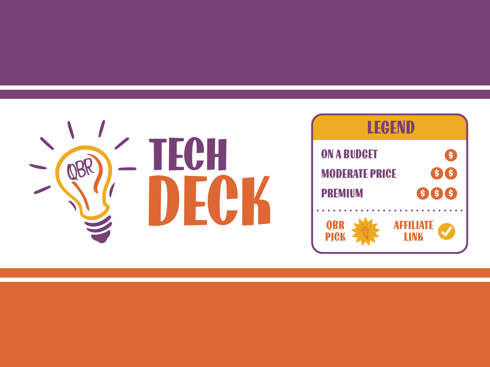

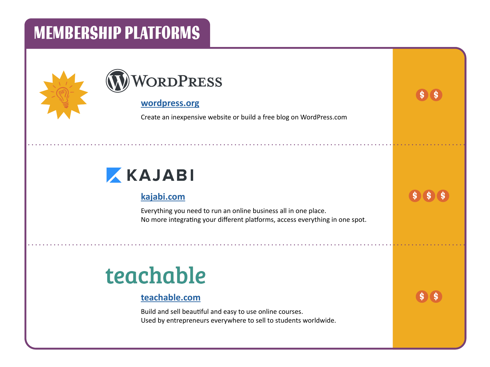### MEMBERSHIP PLATFORMS





#### **wordpress.org**

Create an inexpensive website or build a free blog on WordPress.com

\$ \$

\$ \$

\$ \$

### KAJABI

### **kajabi.com**

Everything you need to run an online business all in one place. No more integrating your different platforms, access everything in one spot.

## teachable

#### **teachable.com**

Build and sell beautiful and easy to use online courses. Used by entrepreneurs everywhere to sell to students worldwide.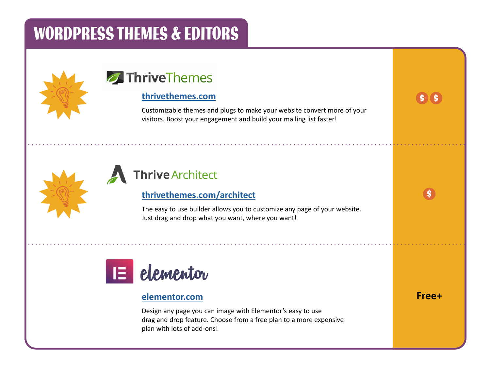### WORDPRESS THEMES & EDITORS



### **7** Thrive Themes

#### **thrivethemes.com**

Customizable themes and plugs to make your website convert more of your visitors. Boost your engagement and build your mailing list faster!



### **Thrive Architect**

### **thrivethemes.com/architect**

The easy to use builder allows you to customize any page of your website. Just drag and drop what you want, where you want!



#### **elementor.com**

Design any page you can image with Elementor's easy to use drag and drop feature. Choose from a free plan to a more expensive plan with lots of add-ons!

**Free+**

\$ \$

\$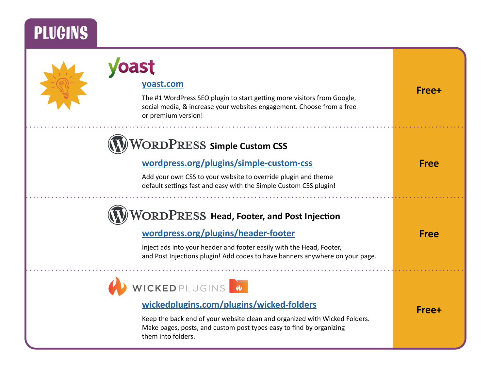## **PLUGINS**

| yoast.com<br>The #1 WordPress SEO plugin to start getting more visitors from Google,<br>social media, & increase your websites engagement. Choose from a free<br>or premium version! | Free+       |
|--------------------------------------------------------------------------------------------------------------------------------------------------------------------------------------|-------------|
| ORDPRESS Simple Custom CSS                                                                                                                                                           |             |
| wordpress.org/plugins/simple-custom-css                                                                                                                                              | <b>Free</b> |
| Add your own CSS to your website to override plugin and theme<br>default settings fast and easy with the Simple Custom CSS plugin!                                                   |             |
| $\overline{ORDP}$ RESS Head, Footer, and Post Injection                                                                                                                              |             |
| wordpress.org/plugins/header-footer                                                                                                                                                  | <b>Free</b> |
| Inject ads into your header and footer easily with the Head, Footer,<br>and Post Injections plugin! Add codes to have banners anywhere on your page.                                 |             |
| WICKED PLUGINS 4                                                                                                                                                                     |             |
| wickedplugins.com/plugins/wicked-folders                                                                                                                                             | Free+       |
| Keep the back end of your website clean and organized with Wicked Folders.<br>Make pages, posts, and custom post types easy to find by organizing<br>them into folders.              |             |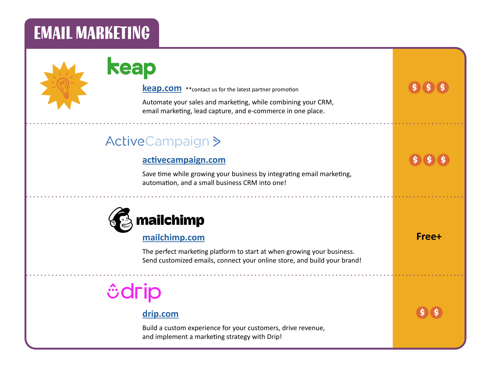### EMAIL MARKETING



### keap

**keap.com** \*\*contact us for the latest partner promotion

Automate your sales and marketing, while combining your CRM, email marketing, lead capture, and e-commerce in one place.

### **ActiveCampaign>**

#### **activecampaign.com**

Save time while growing your business by integrating email marketing, automation, and a small business CRM into one!



#### **mailchimp.com**

The perfect marketing platform to start at when growing your business. Send customized emails, connect your online store, and build your brand!

## *<u><u><b></u>*</u>

### **drip.com**

Build a custom experience for your customers, drive revenue, and implement a marketing strategy with Drip!

\$ \$ \$ \$ \$ \$ \$ **Free+**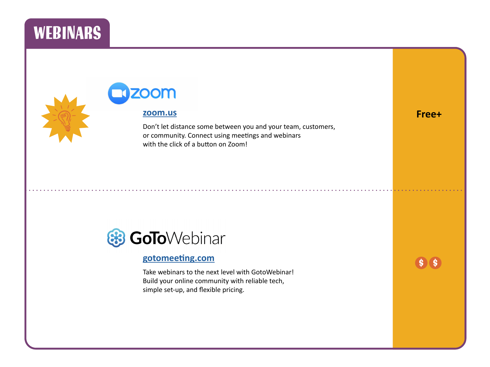### **WEBINARS**

### **OOM zoom.us**

Don't let distance some between you and your team, customers, or community. Connect using meetings and webinars with the click of a button on Zoom!



#### **gotomeeting.com**

Take webinars to the next level with GotoWebinar! Build your online community with reliable tech, simple set-up, and flexible pricing.

\$ \$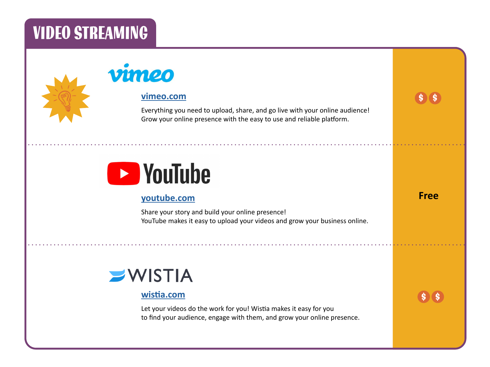### VIDEO STREAMING

### vimeo

#### **vimeo.com**

Everything you need to upload, share, and go live with your online audience! Grow your online presence with the easy to use and reliable platform.

\$ \$

**Free**

\$ \$

## **Exploration School**

### **youtube.com**

Share your story and build your online presence! YouTube makes it easy to upload your videos and grow your business online.

### $\blacktriangleright$ WISTIA

### **wistia.com**

Let your videos do the work for you! Wistia makes it easy for you to find your audience, engage with them, and grow your online presence.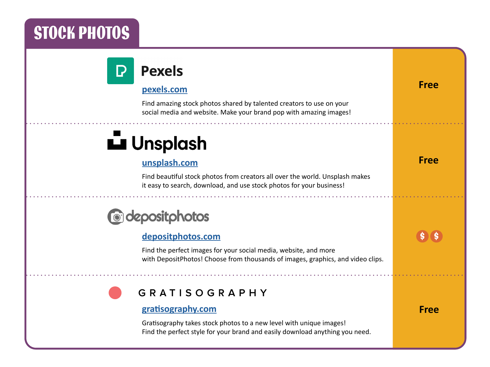## STOCK PHOTOS

| <b>Pexels</b>                                                                                                                                        |             |
|------------------------------------------------------------------------------------------------------------------------------------------------------|-------------|
| pexels.com                                                                                                                                           | <b>Free</b> |
| Find amazing stock photos shared by talented creators to use on your<br>social media and website. Make your brand pop with amazing images!           |             |
| Lu Unsplash                                                                                                                                          |             |
| unsplash.com                                                                                                                                         | <b>Free</b> |
| Find beautiful stock photos from creators all over the world. Unsplash makes<br>it easy to search, download, and use stock photos for your business! |             |
| <b>@depositphotos</b>                                                                                                                                |             |
| depositphotos.com                                                                                                                                    |             |
|                                                                                                                                                      |             |
| Find the perfect images for your social media, website, and more<br>with DepositPhotos! Choose from thousands of images, graphics, and video clips.  |             |
| <b>GRATISOGRAPHY</b>                                                                                                                                 |             |
| gratisography.com                                                                                                                                    | <b>Free</b> |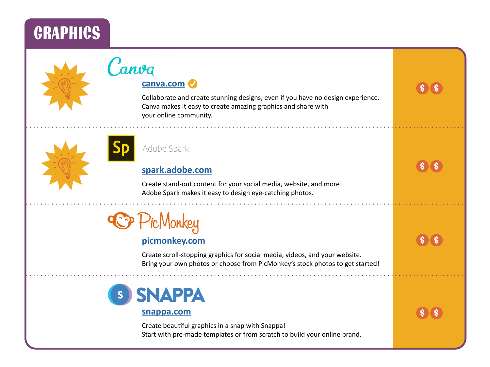### **GRAPHICS**



### Canva

### **canva.com**

Collaborate and create stunning designs, even if you have no design experience. Canva makes it easy to create amazing graphics and share with your online community.





### **spark.adobe.com**

Create stand-out content for your social media, website, and more! Adobe Spark makes it easy to design eye-catching photos.



### **picmonkey.com**

Create scroll-stopping graphics for social media, videos, and your website. Bring your own photos or choose from PicMonkey's stock photos to get started!



#### **snappa.com**

Create beautiful graphics in a snap with Snappa! Start with pre-made templates or from scratch to build your online brand. \$ \$ \$ \$ \$ \$

\$

\$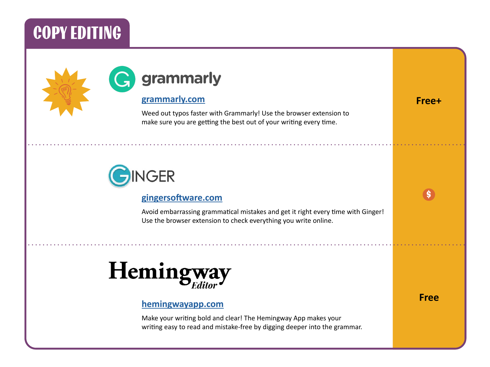### COPY EDITING





#### **grammarly.com**

Weed out typos faster with Grammarly! Use the browser extension to make sure you are getting the best out of your writing every time.



#### **gingersoftware.com**

Avoid embarrassing grammatical mistakes and get it right every time with Ginger! Use the browser extension to check everything you write online.

## Hemingwa

#### **hemingwayapp.com**

Make your writing bold and clear! The Hemingway App makes your writing easy to read and mistake-free by digging deeper into the grammar. **Free**

\$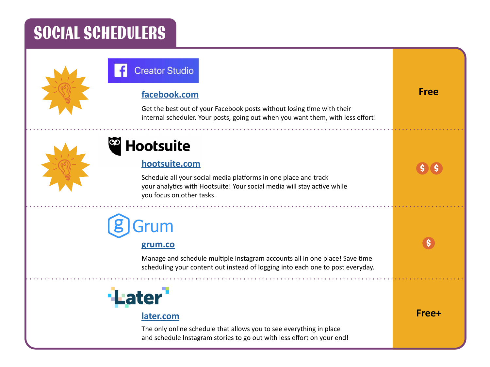### SOCIAL SCHEDULERS



### **Creator Studio**

### **facebook.com Free**

Get the best out of your Facebook posts without losing time with their internal scheduler. Your posts, going out when you want them, with less effort!



### **Hootsuite**

#### **hootsuite.com**

Schedule all your social media platforms in one place and track your analytics with Hootsuite! Your social media will stay active while you focus on other tasks.

## Grum

#### **grum.co**

Manage and schedule multiple Instagram accounts all in one place! Save time scheduling your content out instead of logging into each one to post everyday.



#### **later.com**

The only online schedule that allows you to see everything in place and schedule Instagram stories to go out with less effort on your end!

\$ \$

\$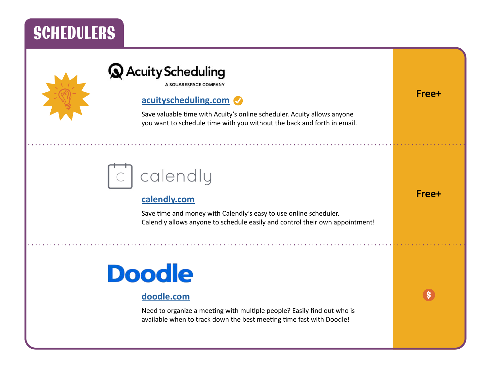### **SCHEDULERS**



### **Q** Acuity Scheduling

A SQUARESPACE COMPANY

### **acuityscheduling.com**

Save valuable time with Acuity's online scheduler. Acuity allows anyone you want to schedule time with you without the back and forth in email.

## calendly

#### **calendly.com**

Save time and money with Calendly's easy to use online scheduler. Calendly allows anyone to schedule easily and control their own appointment!

## **Doodle**

### **doodle.com**

Need to organize a meeting with multiple people? Easily find out who is available when to track down the best meeting time fast with Doodle!

\$

**Free+**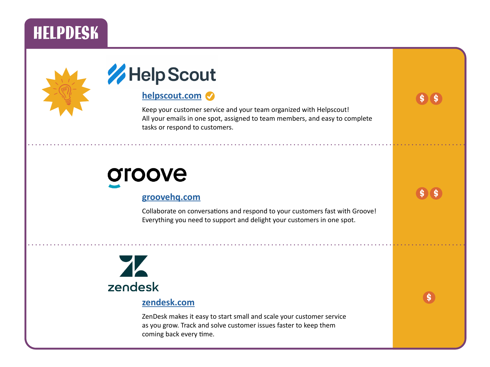### **HELPDESK**





### **helpscout.com**

Keep your customer service and your team organized with Helpscout! All your emails in one spot, assigned to team members, and easy to complete tasks or respond to customers.

## oroove

#### **groovehq.com**

Collaborate on conversations and respond to your customers fast with Groove! Everything you need to support and delight your customers in one spot.

\$

\$

\$

\$ \$

# zendesk

#### **zendesk.com**

ZenDesk makes it easy to start small and scale your customer service as you grow. Track and solve customer issues faster to keep them coming back every time.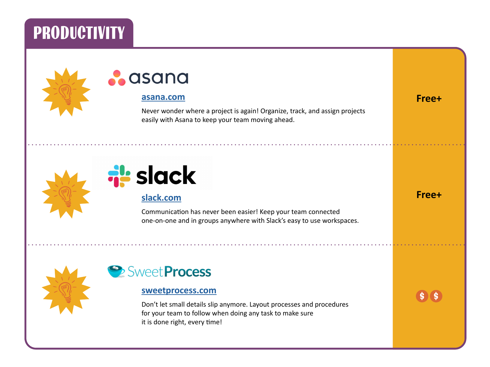### PRODUCTIVITY



### asana

#### **asana.com**

Never wonder where a project is again! Organize, track, and assign projects easily with Asana to keep your team moving ahead.





#### **slack.com**

Communication has never been easier! Keep your team connected one-on-one and in groups anywhere with Slack's easy to use workspaces.



### Sweet Process

#### **sweetprocess.com**

Don't let small details slip anymore. Layout processes and procedures for your team to follow when doing any task to make sure it is done right, every time!

\$ \$

**Free+**